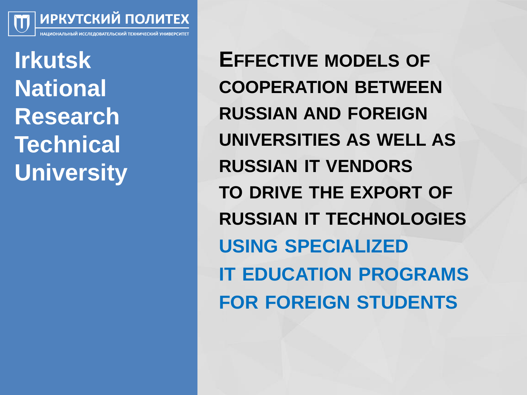ИРКУТСКИЙ ПОЛИТЕХ

**Irkutsk National Research Technical University**

**EFFECTIVE MODELS OF COOPERATION BETWEEN RUSSIAN AND FOREIGN UNIVERSITIES AS WELL AS RUSSIAN IT VENDORS TO DRIVE THE EXPORT OF RUSSIAN IT TECHNOLOGIES USING SPECIALIZED IT EDUCATION PROGRAMS FOR FOREIGN STUDENTS**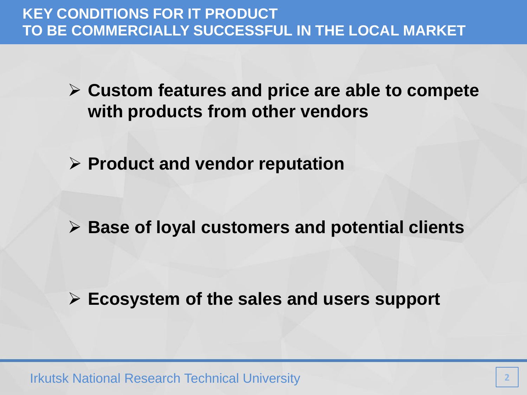- **Custom features and price are able to compete with products from other vendors**
- **Product and vendor reputation**

**Base of loyal customers and potential clients**

**Ecosystem of the sales and users support**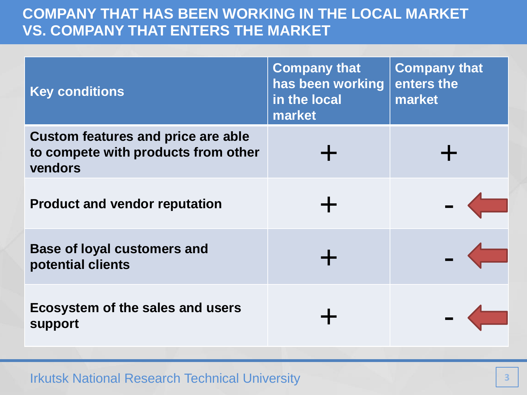## **COMPANY THAT HAS BEEN WORKING IN THE LOCAL MARKET VS. COMPANY THAT ENTERS THE MARKET**

| <b>Key conditions</b>                                                                       | <b>Company that</b><br>has been working<br>in the local<br>market | <b>Company that</b><br>enters the<br>market |
|---------------------------------------------------------------------------------------------|-------------------------------------------------------------------|---------------------------------------------|
| <b>Custom features and price are able</b><br>to compete with products from other<br>vendors |                                                                   |                                             |
| <b>Product and vendor reputation</b>                                                        |                                                                   |                                             |
| <b>Base of loyal customers and</b><br>potential clients                                     |                                                                   |                                             |
| Ecosystem of the sales and users<br>support                                                 |                                                                   |                                             |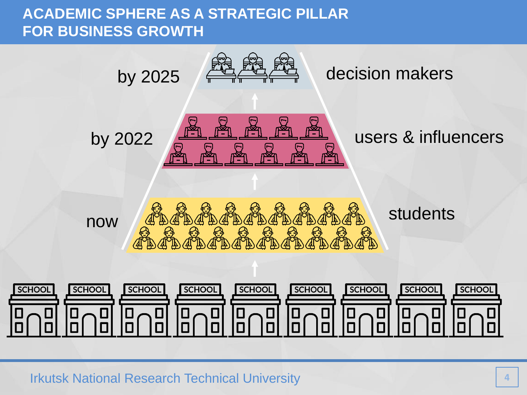## **ACADEMIC SPHERE AS A STRATEGIC PILLAR FOR BUSINESS GROWTH**

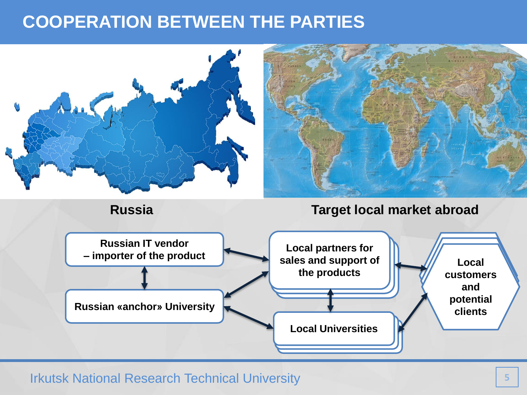# **COOPERATION BETWEEN THE PARTIES**

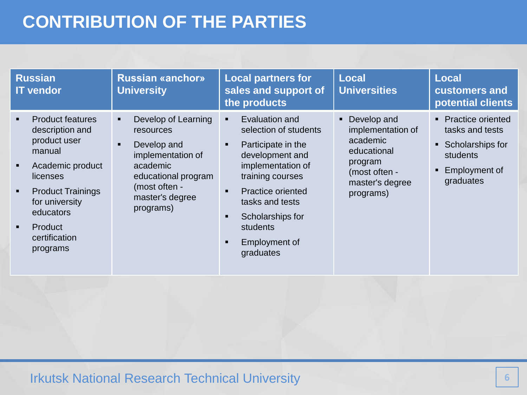# **CONTRIBUTION OF THE PARTIES**

| <b>Russian</b><br><b>IT vendor</b>                                                                                                                                                                                                               | <b>Russian «anchor»</b><br><b>University</b>                                                                                                                        | <b>Local partners for</b><br>sales and support of<br>the products                                                                                                                                                                                                                 | <b>Local</b><br><b>Universities</b>                                                                                          | <b>Local</b><br>customers and<br>potential clients                                                            |
|--------------------------------------------------------------------------------------------------------------------------------------------------------------------------------------------------------------------------------------------------|---------------------------------------------------------------------------------------------------------------------------------------------------------------------|-----------------------------------------------------------------------------------------------------------------------------------------------------------------------------------------------------------------------------------------------------------------------------------|------------------------------------------------------------------------------------------------------------------------------|---------------------------------------------------------------------------------------------------------------|
| <b>Product features</b><br>$\blacksquare$<br>description and<br>product user<br>manual<br>Academic product<br>licenses<br><b>Product Trainings</b><br>٠<br>for university<br>educators<br>Product<br>$\blacksquare$<br>certification<br>programs | Develop of Learning<br>٠<br>resources<br>Develop and<br>п.<br>implementation of<br>academic<br>educational program<br>(most often -<br>master's degree<br>programs) | Evaluation and<br>selection of students<br>Participate in the<br>$\blacksquare$<br>development and<br>implementation of<br>training courses<br><b>Practice oriented</b><br>$\blacksquare$<br>tasks and tests<br>Scholarships for<br>students<br><b>Employment of</b><br>graduates | Develop and<br>٠<br>implementation of<br>academic<br>educational<br>program<br>(most often -<br>master's degree<br>programs) | • Practice oriented<br>tasks and tests<br>• Scholarships for<br><b>students</b><br>Employment of<br>graduates |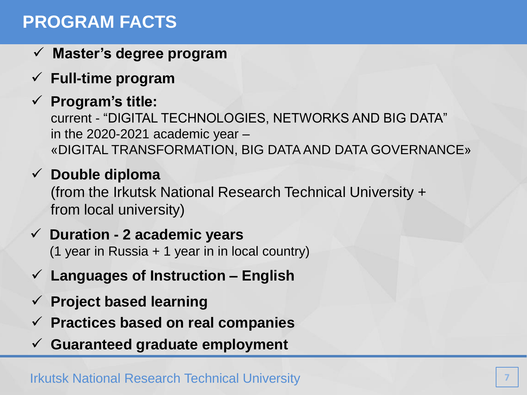# **PROGRAM FACTS**

- **Master's degree program**
- **Full-time program**
- **Program's title:**

current - "DIGITAL TECHNOLOGIES, NETWORKS AND BIG DATA" in the 2020-2021 academic year  $-$ «DIGITAL TRANSFORMATION, BIG DATA AND DATA GOVERNANCE»

## **Double diploma**

(from the Irkutsk National Research Technical University + from local university)

### **Duration - 2 academic years**

(1 year in Russia + 1 year in in local country)

- **Languages of Instruction – English**
- **Project based learning**
- **Practices based on real companies**
- **Guaranteed graduate employment**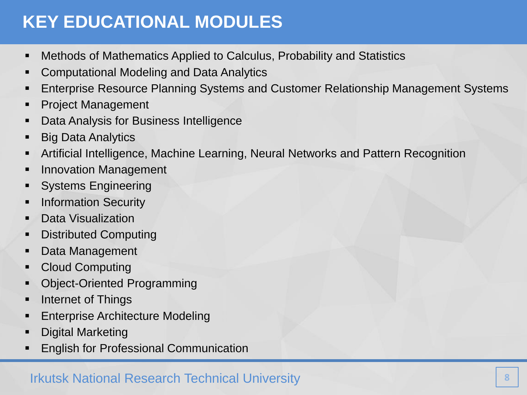# **KEY EDUCATIONAL MODULES**

- Methods of Mathematics Applied to Calculus, Probability and Statistics
- **Computational Modeling and Data Analytics**
- Enterprise Resource Planning Systems and Customer Relationship Management Systems
- **Project Management**
- **-** Data Analysis for Business Intelligence
- **Big Data Analytics**
- Artificial Intelligence, Machine Learning, Neural Networks and Pattern Recognition
- **Innovation Management**
- **Systems Engineering**
- **Information Security**
- **-** Data Visualization
- **-** Distributed Computing
- **Data Management**
- Cloud Computing
- **Object-Oriented Programming**
- **Internet of Things**
- **Enterprise Architecture Modeling**
- **-** Digital Marketing
- English for Professional Communication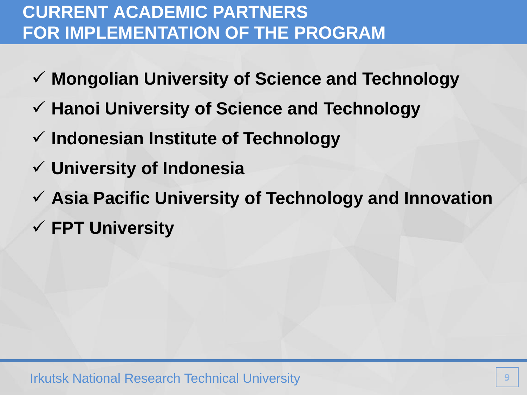# **CURRENT ACADEMIC PARTNERS FOR IMPLEMENTATION OF THE PROGRAM**

- **Mongolian University of Science and Technology**
- **Hanoi University of Science and Technology**
- **Indonesian Institute of Technology**
- **University of Indonesia**
- **Asia Pacific University of Technology and Innovation**
- **FPT University**